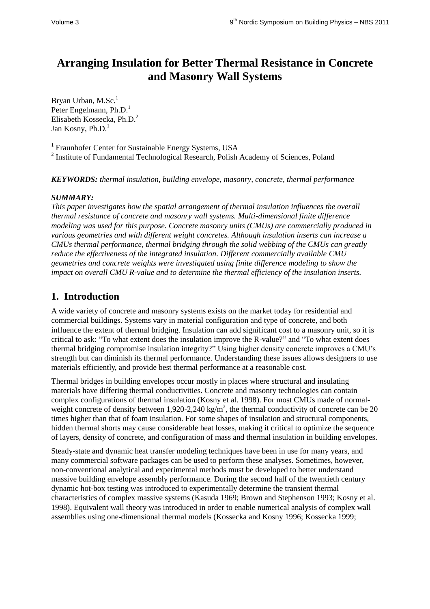# **Arranging Insulation for Better Thermal Resistance in Concrete and Masonry Wall Systems**

Bryan Urban, M.Sc.<sup>1</sup> Peter Engelmann, Ph.D.<sup>1</sup> Elisabeth Kossecka, Ph.D.<sup>2</sup> Jan Kosny,  $Ph.D.<sup>1</sup>$ 

<sup>1</sup> Fraunhofer Center for Sustainable Energy Systems, USA

<sup>2</sup> Institute of Fundamental Technological Research, Polish Academy of Sciences, Poland

*KEYWORDS: thermal insulation, building envelope, masonry, concrete, thermal performance*

### *SUMMARY:*

*This paper investigates how the spatial arrangement of thermal insulation influences the overall thermal resistance of concrete and masonry wall systems. Multi-dimensional finite difference modeling was used for this purpose. Concrete masonry units (CMUs) are commercially produced in various geometries and with different weight concretes. Although insulation inserts can increase a CMUs thermal performance, thermal bridging through the solid webbing of the CMUs can greatly reduce the effectiveness of the integrated insulation. Different commercially available CMU geometries and concrete weights were investigated using finite difference modeling to show the impact on overall CMU R-value and to determine the thermal efficiency of the insulation inserts.* 

## **1. Introduction**

A wide variety of concrete and masonry systems exists on the market today for residential and commercial buildings. Systems vary in material configuration and type of concrete, and both influence the extent of thermal bridging. Insulation can add significant cost to a masonry unit, so it is critical to ask: "To what extent does the insulation improve the R-value?" and "To what extent does thermal bridging compromise insulation integrity?" Using higher density concrete improves a CMU's strength but can diminish its thermal performance. Understanding these issues allows designers to use materials efficiently, and provide best thermal performance at a reasonable cost.

Thermal bridges in building envelopes occur mostly in places where structural and insulating materials have differing thermal conductivities. Concrete and masonry technologies can contain complex configurations of thermal insulation (Kosny et al. 1998). For most CMUs made of normalweight concrete of density between 1,920-2,240 kg/m<sup>3</sup>, the thermal conductivity of concrete can be 20 times higher than that of foam insulation. For some shapes of insulation and structural components, hidden thermal shorts may cause considerable heat losses, making it critical to optimize the sequence of layers, density of concrete, and configuration of mass and thermal insulation in building envelopes.

Steady-state and dynamic heat transfer modeling techniques have been in use for many years, and many commercial software packages can be used to perform these analyses. Sometimes, however, non-conventional analytical and experimental methods must be developed to better understand massive building envelope assembly performance. During the second half of the twentieth century dynamic hot-box testing was introduced to experimentally determine the transient thermal characteristics of complex massive systems (Kasuda 1969; Brown and Stephenson 1993; Kosny et al. 1998). Equivalent wall theory was introduced in order to enable numerical analysis of complex wall assemblies using one-dimensional thermal models (Kossecka and Kosny 1996; Kossecka 1999;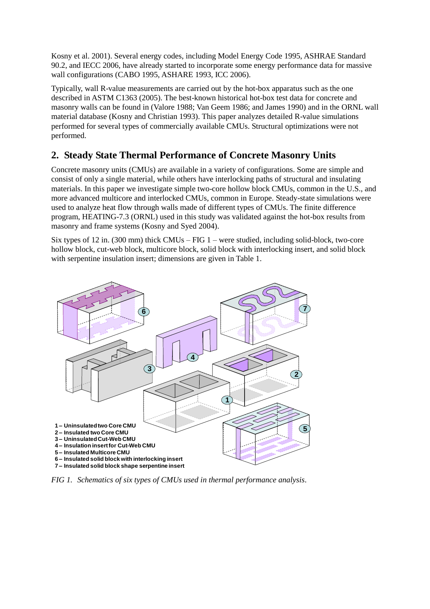Kosny et al. 2001). Several energy codes, including Model Energy Code 1995, ASHRAE Standard 90.2, and IECC 2006, have already started to incorporate some energy performance data for massive wall configurations (CABO 1995, ASHARE 1993, ICC 2006).

Typically, wall R-value measurements are carried out by the hot-box apparatus such as the one described in ASTM C1363 (2005). The best-known historical hot-box test data for concrete and masonry walls can be found in (Valore 1988; Van Geem 1986; and James 1990) and in the ORNL wall material database (Kosny and Christian 1993). This paper analyzes detailed R-value simulations performed for several types of commercially available CMUs. Structural optimizations were not performed.

### **2. Steady State Thermal Performance of Concrete Masonry Units**

Concrete masonry units (CMUs) are available in a variety of configurations. Some are simple and consist of only a single material, while others have interlocking paths of structural and insulating materials. In this paper we investigate simple two-core hollow block CMUs, common in the U.S., and more advanced multicore and interlocked CMUs, common in Europe. Steady-state simulations were used to analyze heat flow through walls made of different types of CMUs. The finite difference program, HEATING-7.3 (ORNL) used in this study was validated against the hot-box results from masonry and frame systems (Kosny and Syed 2004).

Six types of 12 in. (300 mm) thick CMUs – FIG 1 – were studied, including solid-block, two-core hollow block, cut-web block, multicore block, solid block with interlocking insert, and solid block with serpentine insulation insert; dimensions are given in Table 1.



*FIG 1. Schematics of six types of CMUs used in thermal performance analysis.*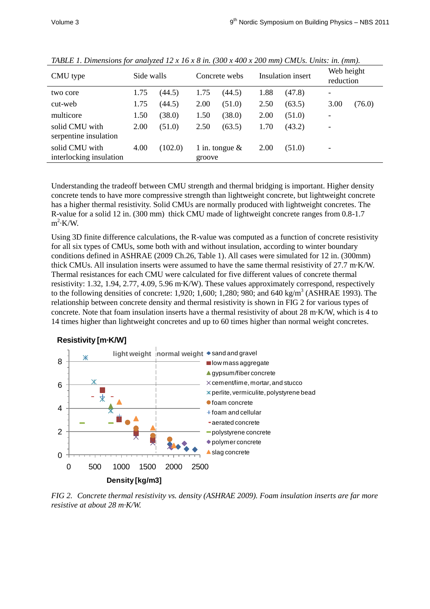| CMU type                                  | Side walls |         | Concrete webs               |        | Insulation insert |        | Web height<br>reduction |        |
|-------------------------------------------|------------|---------|-----------------------------|--------|-------------------|--------|-------------------------|--------|
| two core                                  | 1.75       | (44.5)  | 1.75                        | (44.5) | 1.88              | (47.8) |                         |        |
| cut-web                                   | 1.75       | (44.5)  | 2.00                        | (51.0) | 2.50              | (63.5) | 3.00                    | (76.0) |
| multicore                                 | 1.50       | (38.0)  | 1.50                        | (38.0) | 2.00              | (51.0) |                         |        |
| solid CMU with<br>serpentine insulation   | 2.00       | (51.0)  | 2.50                        | (63.5) | 1.70              | (43.2) |                         |        |
| solid CMU with<br>interlocking insulation | 4.00       | (102.0) | 1 in. tongue $\&$<br>groove |        | 2.00              | (51.0) |                         |        |

*TABLE 1. Dimensions for analyzed 12 x 16 x 8 in. (300 x 400 x 200 mm) CMUs. Units: in. (mm).*

Understanding the tradeoff between CMU strength and thermal bridging is important. Higher density concrete tends to have more compressive strength than lightweight concrete, but lightweight concrete has a higher thermal resistivity. Solid CMUs are normally produced with lightweight concretes. The R-value for a solid 12 in. (300 mm) thick CMU made of lightweight concrete ranges from 0.8-1.7  $m^2$ ·K/W.

Using 3D finite difference calculations, the R-value was computed as a function of concrete resistivity for all six types of CMUs, some both with and without insulation, according to winter boundary conditions defined in ASHRAE (2009 Ch.26, Table 1). All cases were simulated for 12 in. (300mm) thick CMUs. All insulation inserts were assumed to have the same thermal resistivity of 27.7 m·K/W. Thermal resistances for each CMU were calculated for five different values of concrete thermal resistivity: 1.32, 1.94, 2.77, 4.09, 5.96 m·K/W). These values approximately correspond, respectively to the following densities of concrete: 1,920; 1,600; 1,280; 980; and 640 kg/m<sup>3</sup> (ASHRAE 1993). The relationship between concrete density and thermal resistivity is shown in FIG 2 for various types of concrete. Note that foam insulation inserts have a thermal resistivity of about 28 m·K/W, which is 4 to 14 times higher than lightweight concretes and up to 60 times higher than normal weight concretes.

#### **Resistivity [m·K/W]**



*FIG 2. Concrete thermal resistivity vs. density (ASHRAE 2009). Foam insulation inserts are far more resistive at about 28 m·K/W.*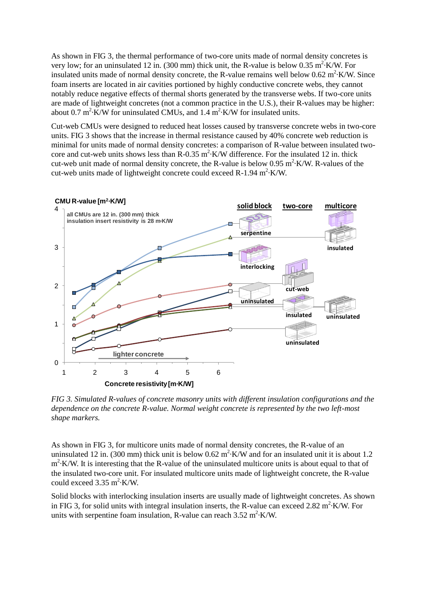As shown in FIG 3, the thermal performance of two-core units made of normal density concretes is very low; for an uninsulated 12 in. (300 mm) thick unit, the R-value is below 0.35 m<sup>2</sup> K/W. For insulated units made of normal density concrete, the R-value remains well below  $0.62 \text{ m}^2 \cdot \text{K/W}$ . Since foam inserts are located in air cavities portioned by highly conductive concrete webs, they cannot notably reduce negative effects of thermal shorts generated by the transverse webs. If two-core units are made of lightweight concretes (not a common practice in the U.S.), their R-values may be higher: about 0.7 m<sup>2</sup> K/W for uninsulated CMUs, and 1.4 m<sup>2</sup> K/W for insulated units.

Cut-web CMUs were designed to reduced heat losses caused by transverse concrete webs in two-core units. FIG 3 shows that the increase in thermal resistance caused by 40% concrete web reduction is minimal for units made of normal density concretes: a comparison of R-value between insulated twocore and cut-web units shows less than R-0.35  $m^2$  K/W difference. For the insulated 12 in. thick cut-web unit made of normal density concrete, the R-value is below  $0.95 \text{ m}^2$  K/W. R-values of the cut-web units made of lightweight concrete could exceed R-1.94 m<sup>2</sup>·K/W.



*FIG 3. Simulated R-values of concrete masonry units with different insulation configurations and the dependence on the concrete R-value. Normal weight concrete is represented by the two left-most shape markers.*

As shown in FIG 3, for multicore units made of normal density concretes, the R-value of an uninsulated 12 in. (300 mm) thick unit is below 0.62 m<sup>2</sup> $\cdot$ K/W and for an insulated unit it is about 1.2 m<sup>2</sup> K/W. It is interesting that the R-value of the uninsulated multicore units is about equal to that of the insulated two-core unit. For insulated multicore units made of lightweight concrete, the R-value could exceed  $3.35 \text{ m}^2$ ·K/W.

Solid blocks with interlocking insulation inserts are usually made of lightweight concretes. As shown in FIG 3, for solid units with integral insulation inserts, the R-value can exceed 2.82  $m^2$  K/W. For units with serpentine foam insulation, R-value can reach  $3.52 \text{ m}^2 \cdot \text{K/W}$ .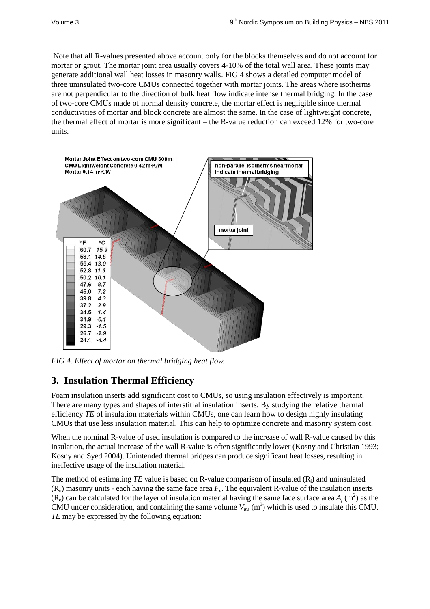Note that all R-values presented above account only for the blocks themselves and do not account for mortar or grout. The mortar joint area usually covers 4-10% of the total wall area. These joints may generate additional wall heat losses in masonry walls. FIG 4 shows a detailed computer model of three uninsulated two-core CMUs connected together with mortar joints. The areas where isotherms are not perpendicular to the direction of bulk heat flow indicate intense thermal bridging. In the case of two-core CMUs made of normal density concrete, the mortar effect is negligible since thermal conductivities of mortar and block concrete are almost the same. In the case of lightweight concrete, the thermal effect of mortar is more significant – the R-value reduction can exceed 12% for two-core units.



*FIG 4. Effect of mortar on thermal bridging heat flow.*

### **3. Insulation Thermal Efficiency**

Foam insulation inserts add significant cost to CMUs, so using insulation effectively is important. There are many types and shapes of interstitial insulation inserts. By studying the relative thermal efficiency *TE* of insulation materials within CMUs, one can learn how to design highly insulating CMUs that use less insulation material. This can help to optimize concrete and masonry system cost.

When the nominal R-value of used insulation is compared to the increase of wall R-value caused by this insulation, the actual increase of the wall R-value is often significantly lower (Kosny and Christian 1993; Kosny and Syed 2004). Unintended thermal bridges can produce significant heat losses, resulting in ineffective usage of the insulation material.

The method of estimating *TE* value is based on R-value comparison of insulated  $(R<sub>i</sub>)$  and uninsulated  $(R<sub>u</sub>)$  masonry units - each having the same face area  $F<sub>u</sub>$ . The equivalent R-value of the insulation inserts  $(R_e)$  can be calculated for the layer of insulation material having the same face surface area  $A_f$  (m<sup>2</sup>) as the CMU under consideration, and containing the same volume  $V_{ins}$  (m<sup>3</sup>) which is used to insulate this CMU. *TE* may be expressed by the following equation: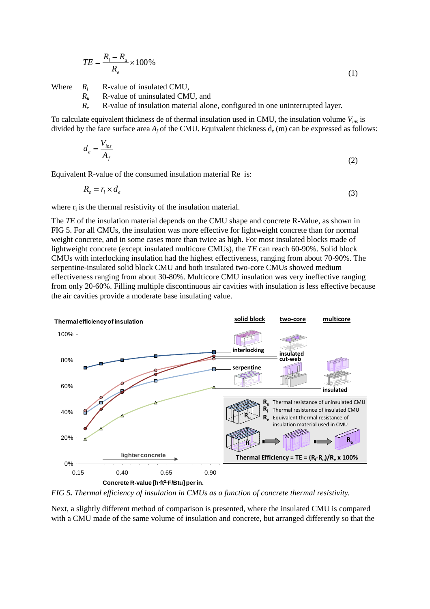$$
TE = \frac{R_i - R_u}{R_e} \times 100\%
$$
\n<sup>(1)</sup>

Where  $R_i$  R-value of insulated CMU,<br> $R_u$  R-value of uninsulated CM

- *R<sup>u</sup>* R-value of uninsulated CMU, and
- *R<sup>e</sup>* R-value of insulation material alone, configured in one uninterrupted layer.

To calculate equivalent thickness de of thermal insulation used in CMU, the insulation volume *Vins* is divided by the face surface area  $A_f$  of the CMU. Equivalent thickness  $d_e$  (m) can be expressed as follows:

$$
d_e = \frac{V_{ins}}{A_f} \tag{2}
$$

Equivalent R-value of the consumed insulation material Re is:

 $R_e = r_i \times d_e$ (3)

where  $r_i$  is the thermal resistivity of the insulation material.

The *TE* of the insulation material depends on the CMU shape and concrete R-Value, as shown in FIG 5. For all CMUs, the insulation was more effective for lightweight concrete than for normal weight concrete, and in some cases more than twice as high. For most insulated blocks made of lightweight concrete (except insulated multicore CMUs), the *TE* can reach 60-90%. Solid block CMUs with interlocking insulation had the highest effectiveness, ranging from about 70-90%. The serpentine-insulated solid block CMU and both insulated two-core CMUs showed medium effectiveness ranging from about 30-80%. Multicore CMU insulation was very ineffective ranging from only 20-60%. Filling multiple discontinuous air cavities with insulation is less effective because the air cavities provide a moderate base insulating value.



*FIG 5. Thermal efficiency of insulation in CMUs as a function of concrete thermal resistivity.*

Next, a slightly different method of comparison is presented, where the insulated CMU is compared with a CMU made of the same volume of insulation and concrete, but arranged differently so that the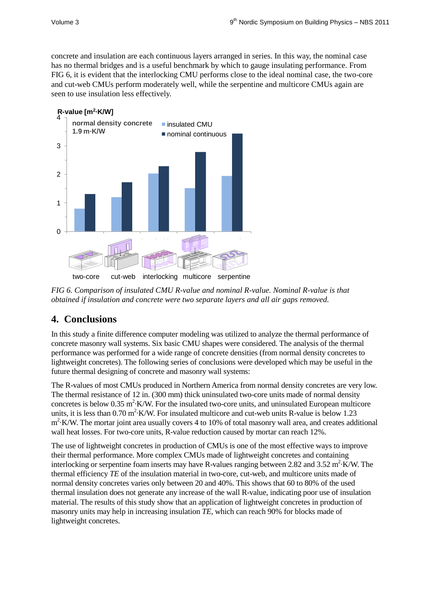concrete and insulation are each continuous layers arranged in series. In this way, the nominal case has no thermal bridges and is a useful benchmark by which to gauge insulating performance. From FIG 6, it is evident that the interlocking CMU performs close to the ideal nominal case, the two-core and cut-web CMUs perform moderately well, while the serpentine and multicore CMUs again are seen to use insulation less effectively.



*FIG 6. Comparison of insulated CMU R-value and nominal R-value. Nominal R-value is that obtained if insulation and concrete were two separate layers and all air gaps removed.*

# **4. Conclusions**

In this study a finite difference computer modeling was utilized to analyze the thermal performance of concrete masonry wall systems. Six basic CMU shapes were considered. The analysis of the thermal performance was performed for a wide range of concrete densities (from normal density concretes to lightweight concretes). The following series of conclusions were developed which may be useful in the future thermal designing of concrete and masonry wall systems:

The R-values of most CMUs produced in Northern America from normal density concretes are very low. The thermal resistance of 12 in. (300 mm) thick uninsulated two-core units made of normal density concretes is below 0.35  $m^2$ ·K/W. For the insulated two-core units, and uninsulated European multicore units, it is less than  $0.70 \text{ m}^2$  K/W. For insulated multicore and cut-web units R-value is below 1.23 m<sup>2</sup>·K/W. The mortar joint area usually covers 4 to 10% of total masonry wall area, and creates additional wall heat losses. For two-core units, R-value reduction caused by mortar can reach 12%.

The use of lightweight concretes in production of CMUs is one of the most effective ways to improve their thermal performance. More complex CMUs made of lightweight concretes and containing interlocking or serpentine foam inserts may have R-values ranging between 2.82 and 3.52 m<sup>2</sup> K/W. The thermal efficiency *TE* of the insulation material in two-core, cut-web, and multicore units made of normal density concretes varies only between 20 and 40%. This shows that 60 to 80% of the used thermal insulation does not generate any increase of the wall R-value, indicating poor use of insulation material. The results of this study show that an application of lightweight concretes in production of masonry units may help in increasing insulation *TE*, which can reach 90% for blocks made of lightweight concretes.